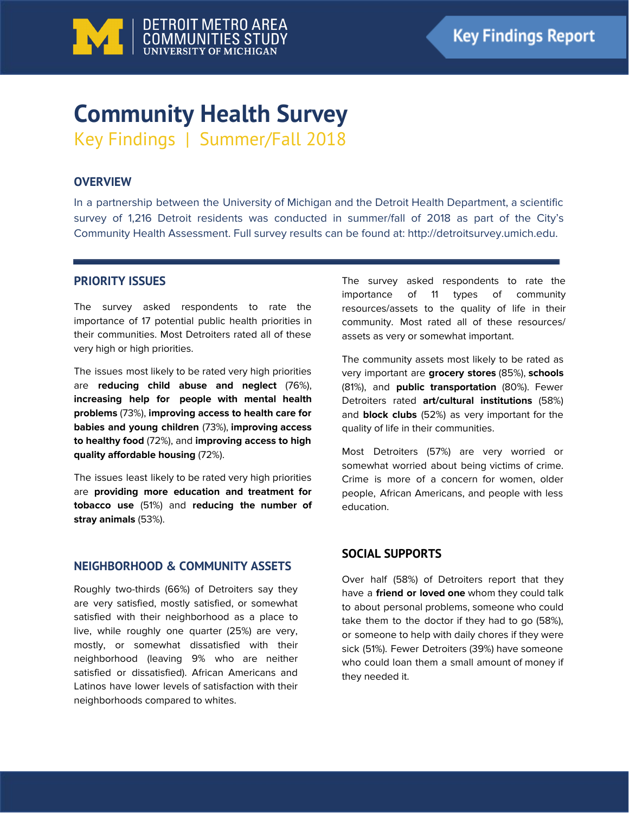

# **Community Health Survey** Key Findings | Summer/Fall 2018

# **OVERVIEW**

In a partnership between the University of Michigan and the Detroit Health Department, a scientific survey of 1,216 Detroit residents was conducted in summer/fall of 2018 as part of the City's Community Health Assessment. Full survey results can be found at: http://detroitsurvey.umich.edu.

# **PRIORITY ISSUES**

The survey asked respondents to rate the importance of 17 potential public health priorities in their communities. Most Detroiters rated all of these very high or high priorities.

The issues most likely to be rated very high priorities are **reducing child abuse and neglect** (76%), **increasing help for people with mental health problems** (73%), **improving access to health care for babies and young children** (73%), **improving access to healthy food** (72%), and **improving access to high quality affordable housing** (72%).

The issues least likely to be rated very high priorities are **providing more education and treatment for tobacco use** (51%) and **reducing the number of stray animals** (53%).

# **NEIGHBORHOOD & COMMUNITY ASSETS**

Roughly two-thirds (66%) of Detroiters say they are very satisfied, mostly satisfied, or somewhat satisfied with their neighborhood as a place to live, while roughly one quarter (25%) are very, mostly, or somewhat dissatisfied with their neighborhood (leaving 9% who are neither satisfied or dissatisfied). African Americans and Latinos have lower levels of satisfaction with their neighborhoods compared to whites.

The survey asked respondents to rate the importance of 11 types of community resources/assets to the quality of life in their community. Most rated all of these resources/ assets as very or somewhat important.

The community assets most likely to be rated as very important are **grocery stores** (85%), **schools** (81%), and **public transportation** (80%). Fewer Detroiters rated **art/cultural institutions** (58%) and **block clubs** (52%) as very important for the quality of life in their communities.

Most Detroiters (57%) are very worried or somewhat worried about being victims of crime. Crime is more of a concern for women, older people, African Americans, and people with less education.

# **SOCIAL SUPPORTS**

Over half (58%) of Detroiters report that they have a **friend or loved one** whom they could talk to about personal problems, someone who could take them to the doctor if they had to go (58%), or someone to help with daily chores if they were sick (51%). Fewer Detroiters (39%) have someone who could loan them a small amount of money if they needed it.